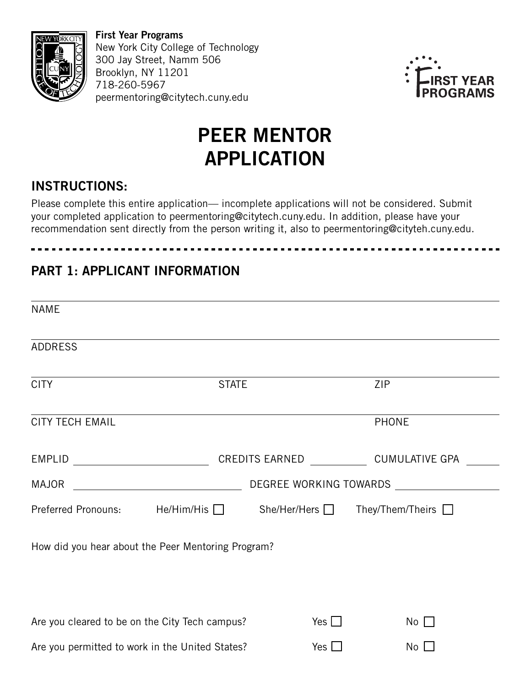

First Year Programs New York City College of Technology 300 Jay Street, Namm 506 Brooklyn, NY 11201 718-260-5967 peermentoring@citytech.cuny.edu



# PEER MENTOR APPLICATION

# INSTRUCTIONS:

Please complete this entire application— incomplete applications will not be considered. Submit your completed application to peermentoring@citytech.cuny.edu. In addition, please have your recommendation sent directly from the person writing it, also to peermentoring@cityteh.cuny.edu.

# PART 1: APPLICANT INFORMATION

| <b>NAME</b>                                                        |                                                                                                                                                                                                                               |                               |                                                                                  |  |  |  |
|--------------------------------------------------------------------|-------------------------------------------------------------------------------------------------------------------------------------------------------------------------------------------------------------------------------|-------------------------------|----------------------------------------------------------------------------------|--|--|--|
| <b>ADDRESS</b>                                                     |                                                                                                                                                                                                                               |                               | ,我们也不会有什么。""我们的人,我们也不会有什么?""我们的人,我们也不会有什么?""我们的人,我们也不会有什么?""我们的人,我们也不会有什么?""我们的人 |  |  |  |
| <b>CITY</b>                                                        | <b>STATE</b>                                                                                                                                                                                                                  |                               | <b>ZIP</b>                                                                       |  |  |  |
| <b>CITY TECH EMAIL</b>                                             | the control of the control of the control of the control of the control of the control of the control of the control of the control of the control of the control of the control of the control of the control of the control |                               | <b>PHONE</b>                                                                     |  |  |  |
| EMPLID                                                             | <u> 1980 - Johann Barnett, fransk politik (</u>                                                                                                                                                                               | CREDITS EARNED CUMULATIVE GPA |                                                                                  |  |  |  |
| MAJOR                                                              | <u> 1989 - Johann Barn, mars ar breithinn ar breithinn ar breithinn ar breithinn ar breithinn ar breithinn ar br</u>                                                                                                          |                               |                                                                                  |  |  |  |
| Preferred Pronouns: He/Him/His □ She/Her/Hers □ They/Them/Theirs □ |                                                                                                                                                                                                                               |                               |                                                                                  |  |  |  |
| How did you hear about the Peer Mentoring Program?                 |                                                                                                                                                                                                                               |                               |                                                                                  |  |  |  |
| Are you cleared to be on the City Tech campus?                     |                                                                                                                                                                                                                               | Yes $\Box$                    | $No$ $\Box$                                                                      |  |  |  |
| Are you permitted to work in the United States?                    |                                                                                                                                                                                                                               | Yes $\Box$                    | $No$ $\Box$                                                                      |  |  |  |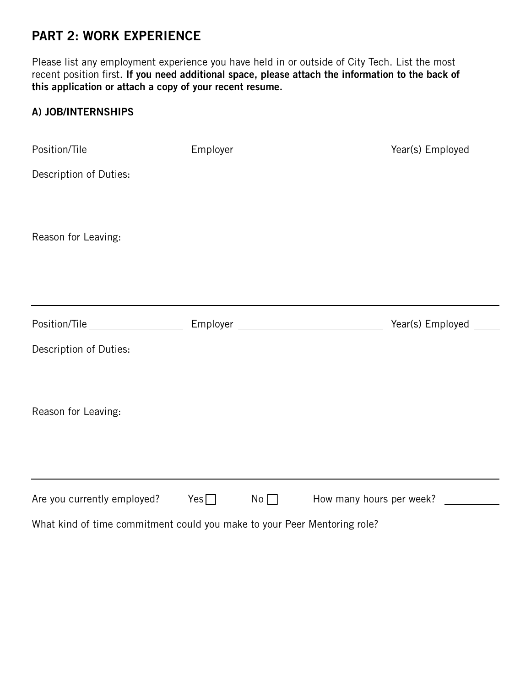### PART 2: WORK EXPERIENCE

Please list any employment experience you have held in or outside of City Tech. List the most recent position first. If you need additional space, please attach the information to the back of this application or attach a copy of your recent resume.

#### A) JOB/INTERNSHIPS

|                                                                          |  | Year(s) Employed _____                      |
|--------------------------------------------------------------------------|--|---------------------------------------------|
| Description of Duties:                                                   |  |                                             |
| Reason for Leaving:                                                      |  |                                             |
|                                                                          |  |                                             |
|                                                                          |  |                                             |
| Description of Duties:                                                   |  |                                             |
| Reason for Leaving:                                                      |  |                                             |
|                                                                          |  |                                             |
| Are you currently employed? $\qquad \qquad$ Yes $\Box$                   |  | $No \t\Box$ How many hours per week? $\Box$ |
| What kind of time commitment could you make to your Peer Mentoring role? |  |                                             |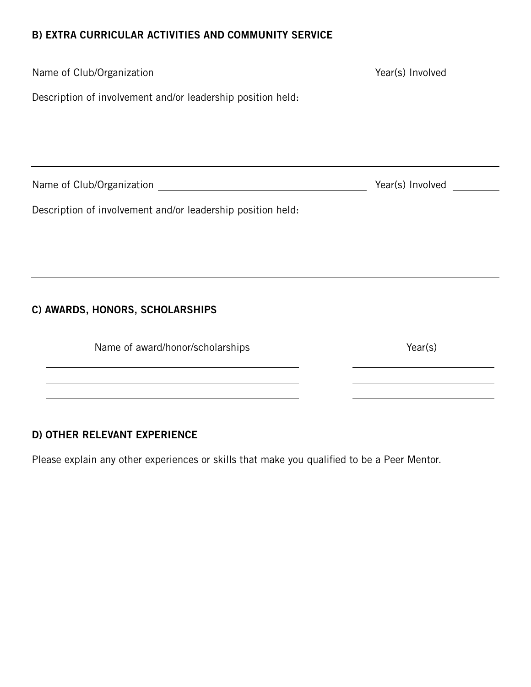#### B) EXTRA CURRICULAR ACTIVITIES AND COMMUNITY SERVICE

|                                                             | Year(s) Involved                                                                      |  |  |  |
|-------------------------------------------------------------|---------------------------------------------------------------------------------------|--|--|--|
| Description of involvement and/or leadership position held: |                                                                                       |  |  |  |
|                                                             |                                                                                       |  |  |  |
|                                                             |                                                                                       |  |  |  |
|                                                             | Year(s) Involved                                                                      |  |  |  |
| Description of involvement and/or leadership position held: |                                                                                       |  |  |  |
|                                                             |                                                                                       |  |  |  |
|                                                             |                                                                                       |  |  |  |
|                                                             |                                                                                       |  |  |  |
| C) AWARDS, HONORS, SCHOLARSHIPS                             |                                                                                       |  |  |  |
| Name of award/honor/scholarships                            | Year(s)<br>the control of the control of the control of the control of the control of |  |  |  |
|                                                             |                                                                                       |  |  |  |
|                                                             |                                                                                       |  |  |  |

#### D) OTHER RELEVANT EXPERIENCE

Please explain any other experiences or skills that make you qualified to be a Peer Mentor.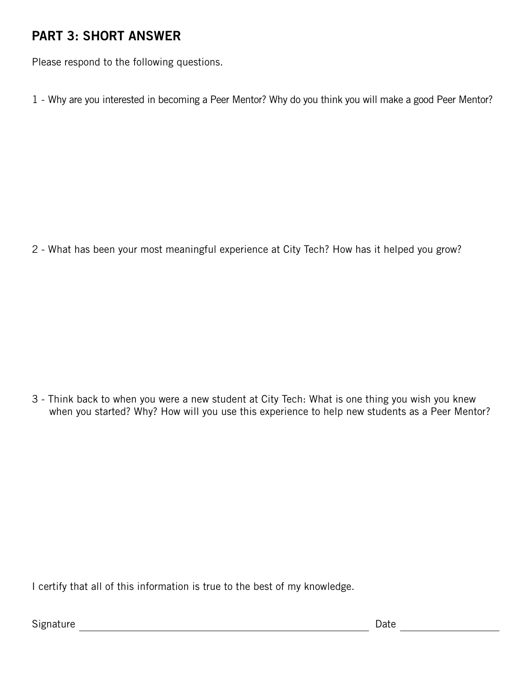# PART 3: SHORT ANSWER

Please respond to the following questions.

1 - Why are you interested in becoming a Peer Mentor? Why do you think you will make a good Peer Mentor?

2 - What has been your most meaningful experience at City Tech? How has it helped you grow?

3 - Think back to when you were a new student at City Tech: What is one thing you wish you knew when you started? Why? How will you use this experience to help new students as a Peer Mentor?

I certify that all of this information is true to the best of my knowledge.

Signature **Date Date Contract Contract Contract Contract Contract Contract Contract Contract Contract Contract Contract Contract Contract Contract Contract Contract Contract Contract Contract Contract Contract Contract**